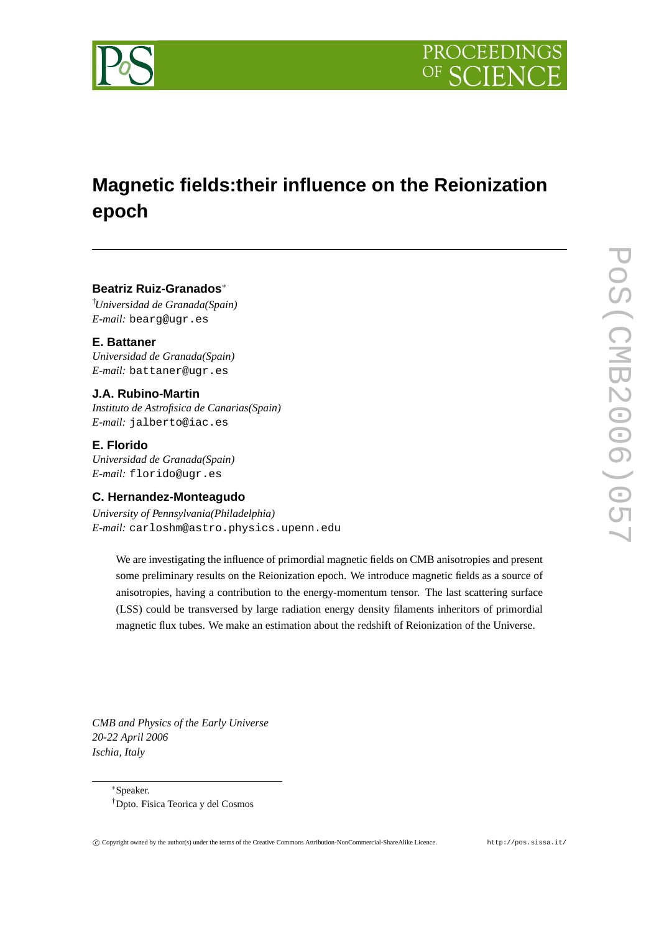

# **Magnetic fields:their influence on the Reionization epoch**

## **Beatriz Ruiz-Granados**<sup>∗</sup>

†*Universidad de Granada(Spain) E-mail:* bearg@ugr.es

**E. Battaner** *Universidad de Granada(Spain) E-mail:* battaner@ugr.es

## **J.A. Rubino-Martin**

*Instituto de Astrofisica de Canarias(Spain) E-mail:* jalberto@iac.es

**E. Florido**

*Universidad de Granada(Spain) E-mail:* florido@ugr.es

## **C. Hernandez-Monteagudo**

*University of Pennsylvania(Philadelphia) E-mail:* carloshm@astro.physics.upenn.edu

We are investigating the influence of primordial magnetic fields on CMB anisotropies and present some preliminary results on the Reionization epoch. We introduce magnetic fields as a source of anisotropies, having a contribution to the energy-momentum tensor. The last scattering surface (LSS) could be transversed by large radiation energy density filaments inheritors of primordial magnetic flux tubes. We make an estimation about the redshift of Reionization of the Universe.

*CMB and Physics of the Early Universe 20-22 April 2006 Ischia, Italy*

> <sup>∗</sup>Speaker. †Dpto. Fisica Teorica y del Cosmos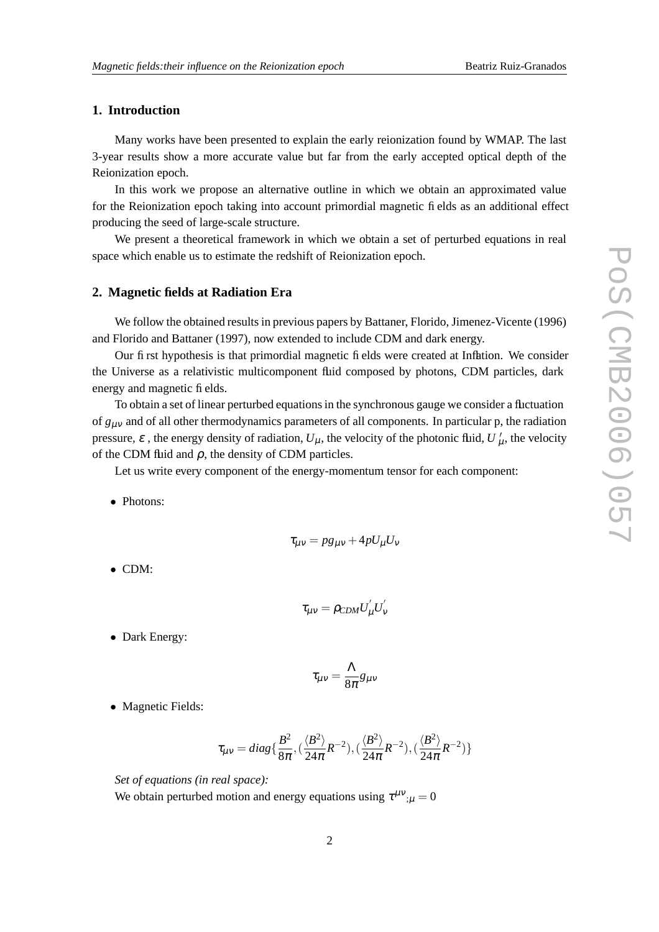## **1. Introduction**

Many works have been presented to explain the early reionization found by WMAP. The last 3-year results show a more accurate value but far from the early accepted optical depth of the Reionization epoch.

In this work we propose an alternative outline in which we obtain an approximated value for the Reionization epoch taking into account primordial magnetic fields as an additional effect producing the seed of large-scale structure.

We present a theoretical framework in which we obtain a set of perturbed equations in real space which enable us to estimate the redshift of Reionization epoch.

#### **2. Magnetic fields at Radiation Era**

We follow the obtained results in previous papers by Battaner, Florido, Jimenez-Vicente (1996) and Florido and Battaner (1997), now extended to include CDM and dark energy.

Our first hypothesis is that primordial magnetic fields were created at Inflation. We consider the Universe as a relativistic multicomponent fluid composed by photons, CDM particles, dark energy and magnetic fields.

To obtain a set of linear perturbed equationsin the synchronous gauge we consider a fluctuation of  $g_{\mu\nu}$  and of all other thermodynamics parameters of all components. In particular p, the radiation pressure,  $\varepsilon$ , the energy density of radiation,  $U_{\mu}$ , the velocity of the photonic fluid,  $U'_{\mu}$ , the velocity of the CDM fluid and  $\rho$ , the density of CDM particles.

Let us write every component of the energy-momentum tensor for each component:

• Photons:

$$
\tau_{\mu\nu} = pg_{\mu\nu} + 4pU_{\mu}U_{\nu}
$$

• CDM:

$$
\tau_{\mu\nu}=\rho_{CDM}U_{\mu}^{'}U_{\nu}^{'}
$$

• Dark Energy:

$$
\tau_{\mu\nu}=\frac{\Lambda}{8\pi}g_{\mu\nu}
$$

• Magnetic Fields:

$$
\tau_{\mu\nu} = diag\{\frac{B^2}{8\pi}, \left(\frac{\langle B^2 \rangle}{24\pi}R^{-2}\right), \left(\frac{\langle B^2 \rangle}{24\pi}R^{-2}\right), \left(\frac{\langle B^2 \rangle}{24\pi}R^{-2}\right)\}
$$

*Set of equations (in real space):* We obtain perturbed motion and energy equations using  $\tau^{\mu\nu}{}_{;\mu}=0$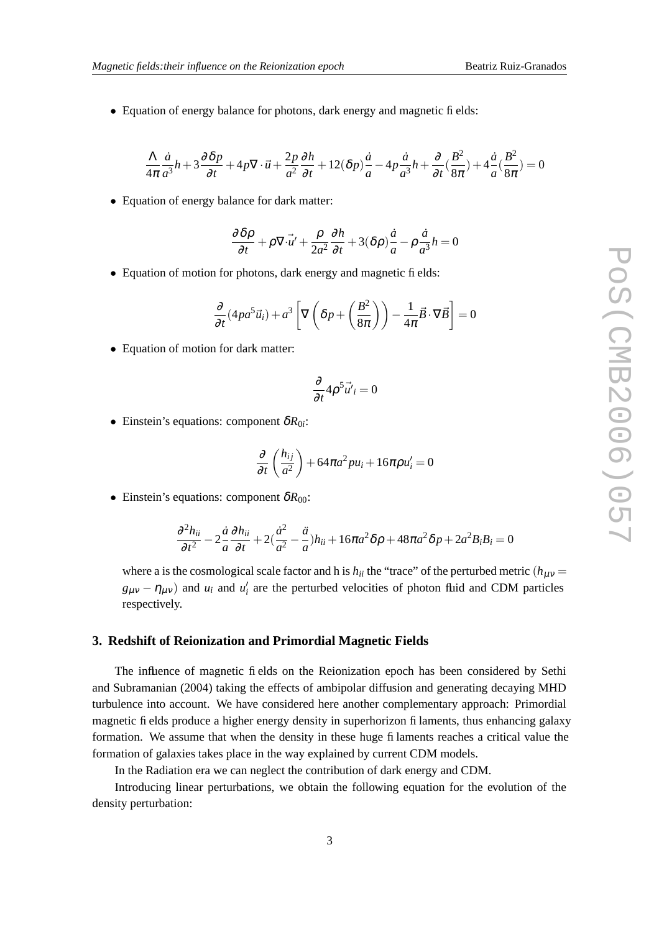• Equation of energy balance for photons, dark energy and magnetic fields:

$$
\frac{\Lambda}{4\pi} \frac{\dot{a}}{a^3} h + 3 \frac{\partial \delta p}{\partial t} + 4p \nabla \cdot \vec{u} + \frac{2p}{a^2} \frac{\partial h}{\partial t} + 12(\delta p) \frac{\dot{a}}{a} - 4p \frac{\dot{a}}{a^3} h + \frac{\partial}{\partial t} \left( \frac{B^2}{8\pi} \right) + 4 \frac{\dot{a}}{a} \left( \frac{B^2}{8\pi} \right) = 0
$$

• Equation of energy balance for dark matter:

$$
\frac{\partial \delta \rho}{\partial t} + \rho \nabla \cdot \vec{u'} + \frac{\rho}{2a^2} \frac{\partial h}{\partial t} + 3(\delta \rho) \frac{\dot{a}}{a} - \rho \frac{\dot{a}}{a^3} h = 0
$$

• Equation of motion for photons, dark energy and magnetic fields:

$$
\frac{\partial}{\partial t}(4pa^5\vec{u}_i) + a^3 \left[ \nabla \left( \delta p + \left( \frac{B^2}{8\pi} \right) \right) - \frac{1}{4\pi} \vec{B} \cdot \nabla \vec{B} \right] = 0
$$

• Equation of motion for dark matter:

$$
\frac{\partial}{\partial t} 4 \rho^5 \vec{u'}_i = 0
$$

• Einstein's equations: component  $\delta R_{0i}$ :

$$
\frac{\partial}{\partial t}\left(\frac{h_{ij}}{a^2}\right) + 64\pi a^2 p u_i + 16\pi p u'_i = 0
$$

• Einstein's equations: component  $\delta R_{00}$ :

$$
\frac{\partial^2 h_{ii}}{\partial t^2} - 2\frac{\dot{a}}{a} \frac{\partial h_{ii}}{\partial t} + 2\left(\frac{\dot{a}^2}{a^2} - \frac{\ddot{a}}{a}\right)h_{ii} + 16\pi a^2 \delta \rho + 48\pi a^2 \delta p + 2a^2 B_i B_i = 0
$$

where a is the cosmological scale factor and h is  $h_{ii}$  the "trace" of the perturbed metric ( $h_{\mu\nu}$  =  $g_{\mu\nu} - \eta_{\mu\nu}$ ) and  $u_i$  and  $u'_i$  are the perturbed velocities of photon fluid and CDM particles respectively.

#### **3. Redshift of Reionization and Primordial Magnetic Fields**

The influence of magnetic fields on the Reionization epoch has been considered by Sethi and Subramanian (2004) taking the effects of ambipolar diffusion and generating decaying MHD turbulence into account. We have considered here another complementary approach: Primordial magnetic fields produce a higher energy density in superhorizon filaments, thus enhancing galaxy formation. We assume that when the density in these huge filaments reaches a critical value the formation of galaxies takes place in the way explained by current CDM models.

In the Radiation era we can neglect the contribution of dark energy and CDM.

Introducing linear perturbations, we obtain the following equation for the evolution of the density perturbation: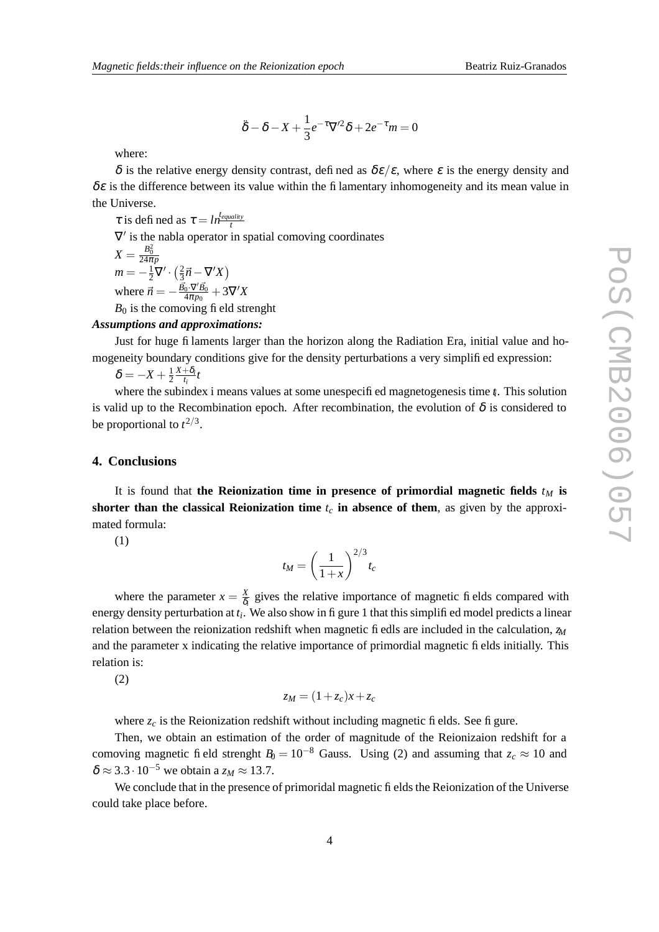$$
\ddot{\delta} - \delta - X + \frac{1}{3}e^{-\tau}\nabla'^{2}\delta + 2e^{-\tau}m = 0
$$

where:

δ is the relative energy density contrast, defined as  $\delta \varepsilon / \varepsilon$ , where  $\varepsilon$  is the energy density and  $\delta \varepsilon$  is the difference between its value within the filamentary inhomogeneity and its mean value in the Universe.

 $\tau$  is defined as  $\tau = ln \frac{t_{equality}}{t}$ *t*  $\nabla'$  is the nabla operator in spatial comoving coordinates  $X = \frac{B_0^2}{24\pi p}$  $m=-\frac{1}{2}\nabla\cdot\left(\frac{2}{3}\right)$  $\frac{2}{3}\vec{n}-\nabla^{\prime}X$ where  $\vec{n} = -\frac{\vec{B_0} \cdot \nabla' \vec{B_0}}{4 \pi n_0}$  $\frac{1}{4\pi p_0}^{0\cdot \mathbf{V}' B_0}+3\nabla'X$  $B_0$  is the comoving field strenght

## *Assumptions and approximations:*

Just for huge filaments larger than the horizon along the Radiation Era, initial value and homogeneity boundary conditions give for the density perturbations a very simplified expression:

$$
\delta=-X+\tfrac{1}{2}\tfrac{X+\delta_i}{t_i}t
$$

where the subindex i means values at some unespecified magnetogenesis time *t<sup>i</sup>* . This solution is valid up to the Recombination epoch. After recombination, the evolution of  $\delta$  is considered to be proportional to  $t^{2/3}$ .

### **4. Conclusions**

It is found that **the Reionization time** in presence of primordial magnetic fields  $t_M$  is **shorter than the classical Reionization time**  $t_c$  **in absence** of **them**, as given by the approximated formula:

(1)

$$
t_M = \left(\frac{1}{1+x}\right)^{2/3} t_c
$$

where the parameter  $x = \frac{X}{\delta}$  $\frac{x}{\delta_i}$  gives the relative importance of magnetic fields compared with energy density perturbation at  $t_i$ . We also show in figure 1 that this simplified model predicts a linear relation between the reionization redshift when magnetic fiedls are included in the calculation, *z<sup>M</sup>* and the parameter x indicating the relative importance of primordial magnetic fields initially. This relation is:

(2)

$$
z_M = (1 + z_c)x + z_c
$$

where  $z_c$  is the Reionization redshift without including magnetic fields. See figure.

Then, we obtain an estimation of the order of magnitude of the Reionizaion redshift for a comoving magnetic field strenght  $B_0 = 10^{-8}$  Gauss. Using (2) and assuming that  $z_c \approx 10$  and  $\delta \approx 3.3 \cdot 10^{-5}$  we obtain a  $z_M \approx 13.7$ .

We conclude that in the presence of primoridal magnetic fields the Reionization of the Universe could take place before.